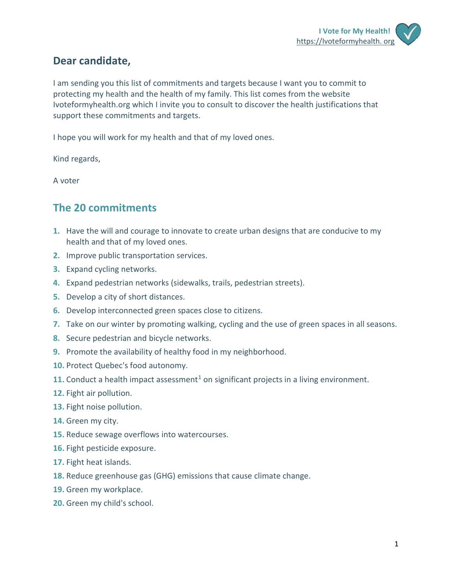## **Dear candidate,**

I am sending you this list of commitments and targets because I want you to commit to protecting my health and the health of my family. This list comes from the website Ivoteformyhealth.org which I invite you to consult to discover the health justifications that support these commitments and targets.

I hope you will work for my health and that of my loved ones.

Kind regards,

A voter

### **The 20 commitments**

- **1.** Have the will and courage to innovate to create urban designs that are conducive to my health and that of my loved ones.
- **2.** Improve public transportation services.
- **3.** Expand cycling networks.
- **4.** Expand pedestrian networks (sidewalks, trails, pedestrian streets).
- **5.** Develop a city of short distances.
- **6.** Develop interconnected green spaces close to citizens.
- **7.** Take on our winter by promoting walking, cycling and the use of green spaces in all seasons.
- **8.** Secure pedestrian and bicycle networks.
- **9.** Promote the availability of healthy food in my neighborhood.
- **10.** Protect Quebec's food autonomy.
- **[1](#page-3-0)1.** Conduct a health impact assessment<sup>1</sup> on significant projects in a living environment.
- **12.** Fight air pollution.
- **13.** Fight noise pollution.
- **14.** Green my city.
- **15.** Reduce sewage overflows into watercourses.
- **16.** Fight pesticide exposure.
- **17.** Fight heat islands.
- **18.** Reduce greenhouse gas (GHG) emissions that cause climate change.
- **19.** Green my workplace.
- **20.** Green my child's school.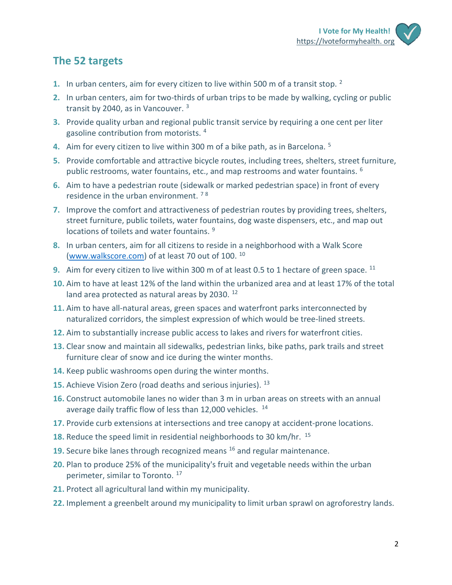# **The 52 targets**

- **1.** In urban centers, aim for every citizen to live within 500 m of a transit stop. [2](#page-3-1)
- **2.** In urban centers, aim for two-thirds of urban trips to be made by walking, cycling or public transit by 2040, as in Vancouver.<sup>[3](#page-3-2)</sup>
- **3.** Provide quality urban and regional public transit service by requiring a one cent per liter gasoline contribution from motorists. [4](#page-3-3)
- **4.** Aim for every citizen to live within 300 m of a bike path, as in Barcelona. [5](#page-3-4)
- **5.** Provide comfortable and attractive bicycle routes, including trees, shelters, street furniture, public restrooms, water fountains, etc., and map restrooms and water fountains. [6](#page-3-5)
- **6.** Aim to have a pedestrian route (sidewalk or marked pedestrian space) in front of every residence in the urban environment. [7](#page-3-6) [8](#page-3-7)
- **7.** Improve the comfort and attractiveness of pedestrian routes by providing trees, shelters, street furniture, public toilets, water fountains, dog waste dispensers, etc., and map out locations of toilets and water fountains. <sup>[9](#page-3-8)</sup>
- **8.** In urban centers, aim for all citizens to reside in a neighborhood with a Walk Score (www.walkscore.com) of at least 70 out of 100. [10](#page-3-9)
- **9.** Aim for every citizen to live within 300 m of at least 0.5 to 1 hectare of green space. <sup>[11](#page-3-10)</sup>
- **10.** Aim to have at least 12% of the land within the urbanized area and at least 17% of the total land area protected as natural areas by 2030.<sup>[12](#page-3-11)</sup>
- **11.** Aim to have all-natural areas, green spaces and waterfront parks interconnected by naturalized corridors, the simplest expression of which would be tree-lined streets.
- **12.** Aim to substantially increase public access to lakes and rivers for waterfront cities.
- **13.** Clear snow and maintain all sidewalks, pedestrian links, bike paths, park trails and street furniture clear of snow and ice during the winter months.
- **14.** Keep public washrooms open during the winter months.
- **15.** Achieve Vision Zero (road deaths and serious injuries). <sup>[13](#page-3-12)</sup>
- **16.** Construct automobile lanes no wider than 3 m in urban areas on streets with an annual average daily traffic flow of less than  $12,000$  vehicles.  $14$
- **17.** Provide curb extensions at intersections and tree canopy at accident-prone locations.
- **18.** Reduce the speed limit in residential neighborhoods to 30 km/hr. <sup>[15](#page-4-1)</sup>
- **19.** Secure bike lanes through recognized means <sup>[16](#page-4-2)</sup> and regular maintenance.
- **20.** Plan to produce 25% of the municipality's fruit and vegetable needs within the urban perimeter, similar to Toronto. [17](#page-4-3)
- **21.** Protect all agricultural land within my municipality.
- **22.** Implement a greenbelt around my municipality to limit urban sprawl on agroforestry lands.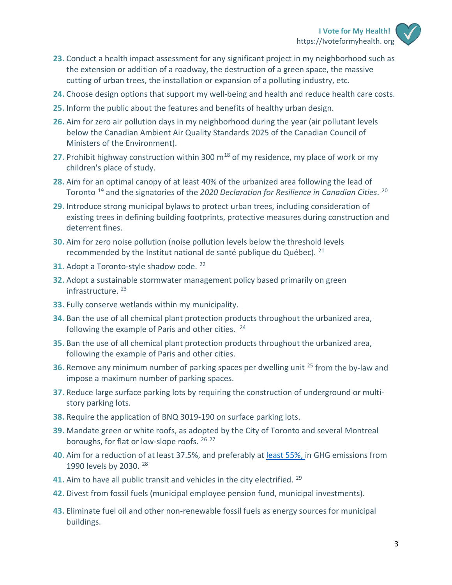- **23.** Conduct a health impact assessment for any significant project in my neighborhood such as the extension or addition of a roadway, the destruction of a green space, the massive cutting of urban trees, the installation or expansion of a polluting industry, etc.
- **24.** Choose design options that support my well-being and health and reduce health care costs.
- **25.** Inform the public about the features and benefits of healthy urban design.
- **26.** Aim for zero air pollution days in my neighborhood during the year (air pollutant levels below the Canadian Ambient Air Quality Standards 2025 of the Canadian Council of Ministers of the Environment).
- **27.** Prohibit highway construction within 300 m[18](#page-4-4) of my residence, my place of work or my children's place of study.
- **28.** Aim for an optimal canopy of at least 40% of the urbanized area following the lead of Toronto [19](#page-4-5) and the signatories of the *2020 Declaration for Resilience in Canadian Cities*. [20](#page-4-6)
- **29.** Introduce strong municipal bylaws to protect urban trees, including consideration of existing trees in defining building footprints, protective measures during construction and deterrent fines.
- **30.** Aim for zero noise pollution (noise pollution levels below the threshold levels recommended by the Institut national de santé publique du Québec).  $21$
- **31.** Adopt a Toronto-style shadow code. <sup>[22](#page-4-8)</sup>
- **32.** Adopt a sustainable stormwater management policy based primarily on green infrastructure.<sup>[23](#page-4-9)</sup>
- **33.** Fully conserve wetlands within my municipality.
- **34.** Ban the use of all chemical plant protection products throughout the urbanized area, following the example of Paris and other cities. <sup>[24](#page-4-10)</sup>
- **35.** Ban the use of all chemical plant protection products throughout the urbanized area, following the example of Paris and other cities.
- **36.** Remove any minimum number of parking spaces per dwelling unit <sup>[25](#page-4-11)</sup> from the by-law and impose a maximum number of parking spaces.
- **37.** Reduce large surface parking lots by requiring the construction of underground or multistory parking lots.
- **38.** Require the application of BNQ 3019-190 on surface parking lots.
- **39.** Mandate green or white roofs, as adopted by the City of Toronto and several Montreal boroughs, for flat or low-slope roofs. [26](#page-4-12) [27](#page-4-13)
- **40.** Aim for a reduction of at least 37.5%, and preferably a[t least 55%, i](https://ec.europa.eu/clima/policies/strategies/2030_en)n GHG emissions from 1990 levels by 2030. [28](#page-4-14)
- **41.** Aim to have all public transit and vehicles in the city electrified. [29](#page-4-15)
- **42.** Divest from fossil fuels (municipal employee pension fund, municipal investments).
- **43.** Eliminate fuel oil and other non-renewable fossil fuels as energy sources for municipal buildings.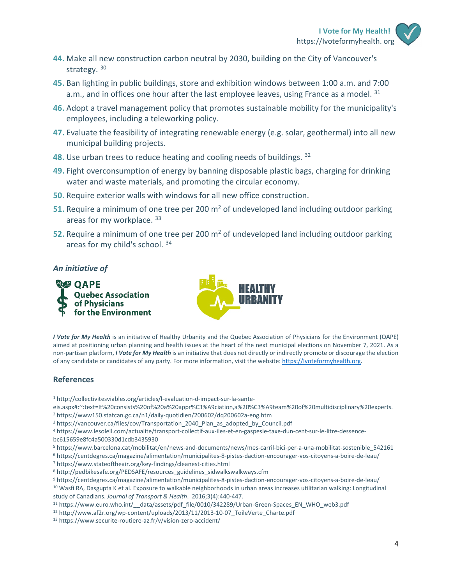- **44.** Make all new construction carbon neutral by 2030, building on the City of Vancouver's strategy. [30](#page-4-16)
- **45.** Ban lighting in public buildings, store and exhibition windows between 1:00 a.m. and 7:00 a.m., and in offices one hour after the last employee leaves, using France as a model.  $31$
- **46.** Adopt a travel management policy that promotes sustainable mobility for the municipality's employees, including a teleworking policy.
- **47.** Evaluate the feasibility of integrating renewable energy (e.g. solar, geothermal) into all new municipal building projects.
- **48.** Use urban trees to reduce heating and cooling needs of buildings. [32](#page-4-18)
- **49.** Fight overconsumption of energy by banning disposable plastic bags, charging for drinking water and waste materials, and promoting the circular economy.
- **50.** Require exterior walls with windows for all new office construction.
- **51.** Require a minimum of one tree per 200 m<sup>2</sup> of undeveloped land including outdoor parking areas for my workplace. [33](#page-4-19)
- **52.** Require a minimum of one tree per 200 m2 of undeveloped land including outdoor parking areas for my child's school. [34](#page-4-20)

#### *An initiative of*





*I Vote for My Health* is an initiative of Healthy Urbanity and the Quebec Association of Physicians for the Environment (QAPE) aimed at positioning urban planning and health issues at the heart of the next municipal elections on November 7, 2021. As a non-partisan platform, *I Vote for My Health* is an initiative that does not directly or indirectly promote or discourage the election of any candidate or candidates of any party. For more information, visit the website[: https://Ivoteformyhealth.org.](https://ivoteformyhealth.org/)

#### **References**

- <span id="page-3-0"></span><sup>1</sup> http://collectivitesviables.org/articles/l-evaluation-d-impact-sur-la-sante-
- eis.aspx#:~:text=It%20consists%20of%20a%20appr%C3%A9ciation,a%20%C3%A9team%20of%20multidisciplinary%20experts.
- <span id="page-3-1"></span><sup>2</sup> https://www150.statcan.gc.ca/n1/daily-quotidien/200602/dq200602a-eng.htm
- <span id="page-3-2"></span><sup>3</sup> https://vancouver.ca/files/cov/Transportation\_2040\_Plan\_as\_adopted\_by\_Council.pdf

- bc615659e8fc4a500330d1cdb3435930
- <span id="page-3-4"></span><sup>5</sup> https://www.barcelona.cat/mobilitat/en/news-and-documents/news/mes-carril-bici-per-a-una-mobilitat-sostenible\_542161
- <span id="page-3-5"></span><sup>6</sup> https://centdegres.ca/magazine/alimentation/municipalites-8-pistes-daction-encourager-vos-citoyens-a-boire-de-leau/
- <span id="page-3-6"></span><sup>7</sup> https://www.stateoftheair.org/key-findings/cleanest-cities.html

<span id="page-3-9"></span><span id="page-3-8"></span><sup>9</sup> https://centdegres.ca/magazine/alimentation/municipalites-8-pistes-daction-encourager-vos-citoyens-a-boire-de-leau/ <sup>10</sup> Wasfi RA, Dasgupta K et al. Exposure to walkable neighborhoods in urban areas increases utilitarian walking: Longitudinal study of Canadians. *Journal of Transport & Health*. 2016;3(4):440-447.

<span id="page-3-10"></span><sup>11</sup> https://www.euro.who.int/ data/assets/pdf file/0010/342289/Urban-Green-Spaces\_EN\_WHO\_web3.pdf

<span id="page-3-3"></span><sup>4</sup> https://www.lesoleil.com/actualite/transport-collectif-aux-iles-et-en-gaspesie-taxe-dun-cent-sur-le-litre-dessence-

<span id="page-3-7"></span><sup>8</sup> http://pedbikesafe.org/PEDSAFE/resources\_guidelines\_sidwalkswalkways.cfm

<span id="page-3-11"></span><sup>&</sup>lt;sup>12</sup> http://www.af2r.org/wp-content/uploads/2013/11/2013-10-07\_ToileVerte\_Charte.pdf

<span id="page-3-12"></span><sup>13</sup> https://www.securite-routiere-az.fr/v/vision-zero-accident/